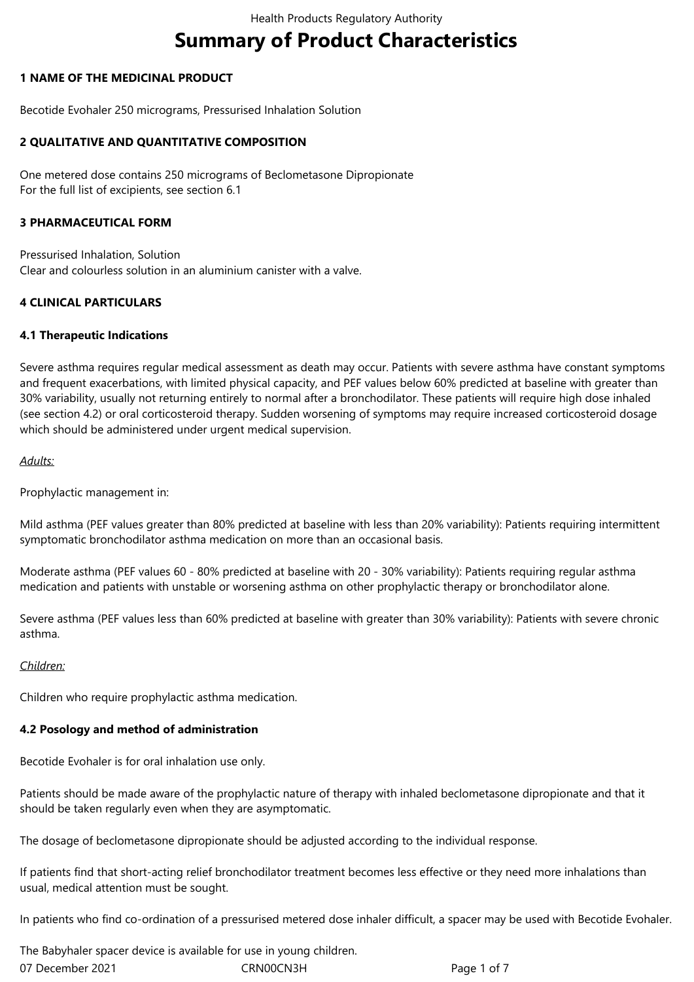# **Summary of Product Characteristics**

## **1 NAME OF THE MEDICINAL PRODUCT**

Becotide Evohaler 250 micrograms, Pressurised Inhalation Solution

## **2 QUALITATIVE AND QUANTITATIVE COMPOSITION**

One metered dose contains 250 micrograms of Beclometasone Dipropionate For the full list of excipients, see section 6.1

## **3 PHARMACEUTICAL FORM**

Pressurised Inhalation, Solution Clear and colourless solution in an aluminium canister with a valve.

## **4 CLINICAL PARTICULARS**

## **4.1 Therapeutic Indications**

Severe asthma requires regular medical assessment as death may occur. Patients with severe asthma have constant symptoms and frequent exacerbations, with limited physical capacity, and PEF values below 60% predicted at baseline with greater than 30% variability, usually not returning entirely to normal after a bronchodilator. These patients will require high dose inhaled (see section 4.2) or oral corticosteroid therapy. Sudden worsening of symptoms may require increased corticosteroid dosage which should be administered under urgent medical supervision.

## *Adults:*

Prophylactic management in:

Mild asthma (PEF values greater than 80% predicted at baseline with less than 20% variability): Patients requiring intermittent symptomatic bronchodilator asthma medication on more than an occasional basis.

Moderate asthma (PEF values 60 - 80% predicted at baseline with 20 - 30% variability): Patients requiring regular asthma medication and patients with unstable or worsening asthma on other prophylactic therapy or bronchodilator alone.

Severe asthma (PEF values less than 60% predicted at baseline with greater than 30% variability): Patients with severe chronic asthma.

#### *Children:*

Children who require prophylactic asthma medication.

# **4.2 Posology and method of administration**

Becotide Evohaler is for oral inhalation use only.

Patients should be made aware of the prophylactic nature of therapy with inhaled beclometasone dipropionate and that it should be taken regularly even when they are asymptomatic.

The dosage of beclometasone dipropionate should be adjusted according to the individual response.

If patients find that short-acting relief bronchodilator treatment becomes less effective or they need more inhalations than usual, medical attention must be sought.

In patients who find co-ordination of a pressurised metered dose inhaler difficult, a spacer may be used with Becotide Evohaler.

07 December 2021 CRN00CN3H Page 1 of 7 The Babyhaler spacer device is available for use in young children.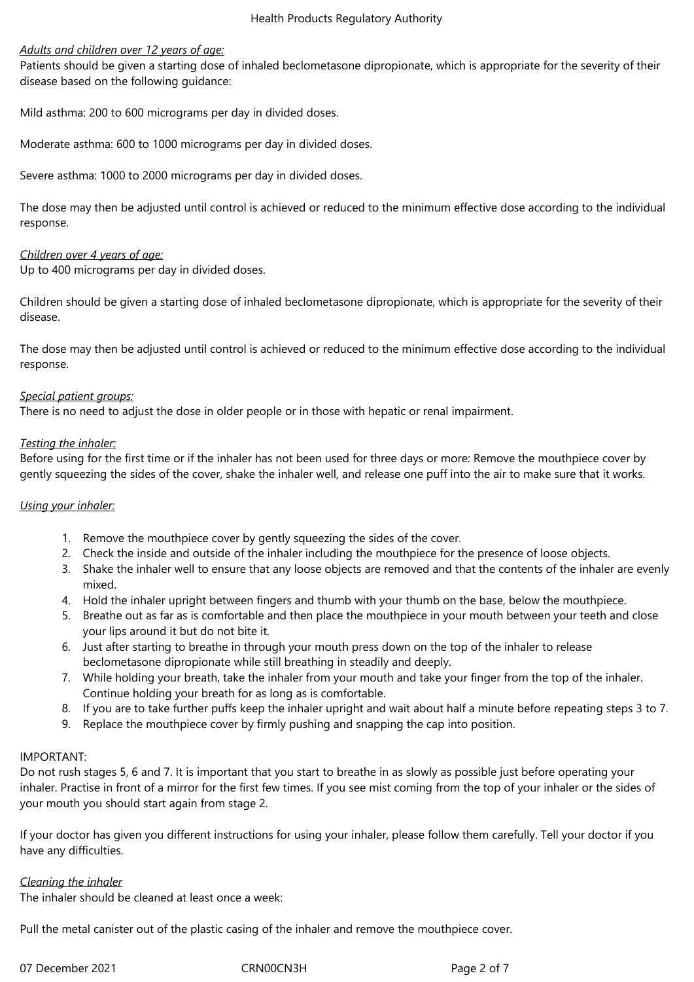#### *Adults and children over 12 years of age:*

Patients should be given a starting dose of inhaled beclometasone dipropionate, which is appropriate for the severity of their disease based on the following guidance:

Mild asthma: 200 to 600 micrograms per day in divided doses.

Moderate asthma: 600 to 1000 micrograms per day in divided doses.

Severe asthma: 1000 to 2000 micrograms per day in divided doses.

The dose may then be adjusted until control is achieved or reduced to the minimum effective dose according to the individual response.

## *Children over 4 years of age:*

Up to 400 micrograms per day in divided doses.

Children should be given a starting dose of inhaled beclometasone dipropionate, which is appropriate for the severity of their disease.

The dose may then be adjusted until control is achieved or reduced to the minimum effective dose according to the individual response.

## *Special patient groups:*

There is no need to adjust the dose in older people or in those with hepatic or renal impairment.

## *Testing the inhaler:*

Before using for the first time or if the inhaler has not been used for three days or more: Remove the mouthpiece cover by gently squeezing the sides of the cover, shake the inhaler well, and release one puff into the air to make sure that it works.

#### *Using your inhaler:*

- 1. Remove the mouthpiece cover by gently squeezing the sides of the cover.
- 2. Check the inside and outside of the inhaler including the mouthpiece for the presence of loose objects.
- 3. Shake the inhaler well to ensure that any loose objects are removed and that the contents of the inhaler are evenly mixed.
- 4. Hold the inhaler upright between fingers and thumb with your thumb on the base, below the mouthpiece.
- 5. Breathe out as far as is comfortable and then place the mouthpiece in your mouth between your teeth and close your lips around it but do not bite it.
- 6. Just after starting to breathe in through your mouth press down on the top of the inhaler to release beclometasone dipropionate while still breathing in steadily and deeply.
- 7. While holding your breath, take the inhaler from your mouth and take your finger from the top of the inhaler. Continue holding your breath for as long as is comfortable.
- 8. If you are to take further puffs keep the inhaler upright and wait about half a minute before repeating steps 3 to 7.
- 9. Replace the mouthpiece cover by firmly pushing and snapping the cap into position.

#### IMPORTANT:

Do not rush stages 5, 6 and 7. It is important that you start to breathe in as slowly as possible just before operating your inhaler. Practise in front of a mirror for the first few times. If you see mist coming from the top of your inhaler or the sides of your mouth you should start again from stage 2.

If your doctor has given you different instructions for using your inhaler, please follow them carefully. Tell your doctor if you have any difficulties.

#### *Cleaning the inhaler*

The inhaler should be cleaned at least once a week:

Pull the metal canister out of the plastic casing of the inhaler and remove the mouthpiece cover.

07 December 2021 CRN00CN3H Page 2 of 7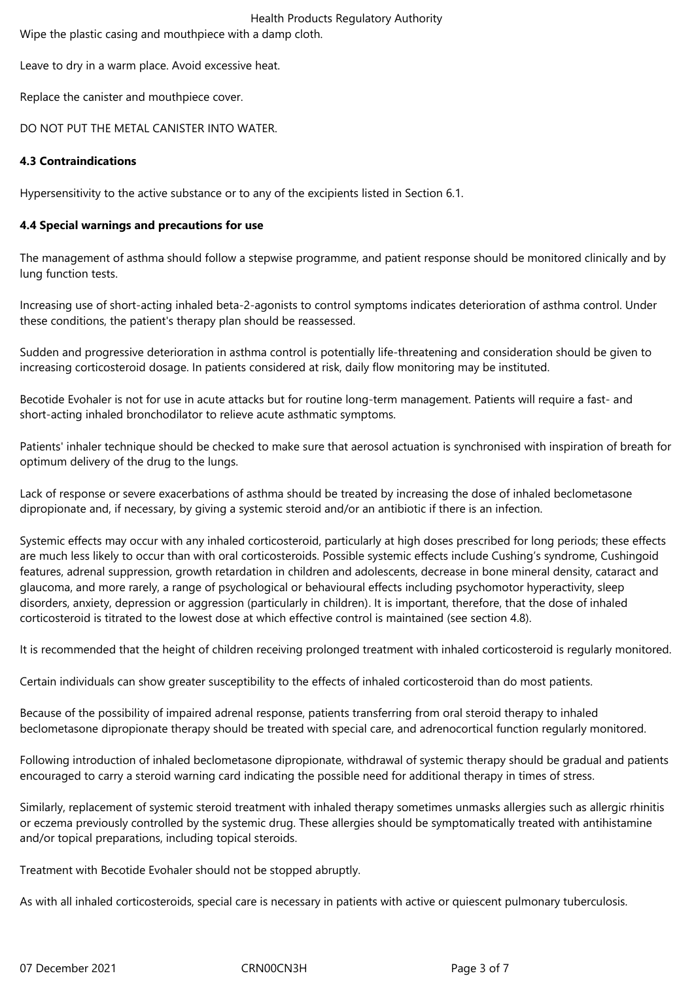Health Products Regulatory Authority Wipe the plastic casing and mouthpiece with a damp cloth.

Leave to dry in a warm place. Avoid excessive heat.

Replace the canister and mouthpiece cover.

## DO NOT PUT THE METAL CANISTER INTO WATER.

## **4.3 Contraindications**

Hypersensitivity to the active substance or to any of the excipients listed in Section 6.1.

## **4.4 Special warnings and precautions for use**

The management of asthma should follow a stepwise programme, and patient response should be monitored clinically and by lung function tests.

Increasing use of short-acting inhaled beta-2-agonists to control symptoms indicates deterioration of asthma control. Under these conditions, the patient's therapy plan should be reassessed.

Sudden and progressive deterioration in asthma control is potentially life-threatening and consideration should be given to increasing corticosteroid dosage. In patients considered at risk, daily flow monitoring may be instituted.

Becotide Evohaler is not for use in acute attacks but for routine long-term management. Patients will require a fast- and short-acting inhaled bronchodilator to relieve acute asthmatic symptoms.

Patients' inhaler technique should be checked to make sure that aerosol actuation is synchronised with inspiration of breath for optimum delivery of the drug to the lungs.

Lack of response or severe exacerbations of asthma should be treated by increasing the dose of inhaled beclometasone dipropionate and, if necessary, by giving a systemic steroid and/or an antibiotic if there is an infection.

Systemic effects may occur with any inhaled corticosteroid, particularly at high doses prescribed for long periods; these effects are much less likely to occur than with oral corticosteroids. Possible systemic effects include Cushing's syndrome, Cushingoid features, adrenal suppression, growth retardation in children and adolescents, decrease in bone mineral density, cataract and glaucoma, and more rarely, a range of psychological or behavioural effects including psychomotor hyperactivity, sleep disorders, anxiety, depression or aggression (particularly in children). It is important, therefore, that the dose of inhaled corticosteroid is titrated to the lowest dose at which effective control is maintained (see section 4.8).

It is recommended that the height of children receiving prolonged treatment with inhaled corticosteroid is regularly monitored.

Certain individuals can show greater susceptibility to the effects of inhaled corticosteroid than do most patients.

Because of the possibility of impaired adrenal response, patients transferring from oral steroid therapy to inhaled beclometasone dipropionate therapy should be treated with special care, and adrenocortical function regularly monitored.

Following introduction of inhaled beclometasone dipropionate, withdrawal of systemic therapy should be gradual and patients encouraged to carry a steroid warning card indicating the possible need for additional therapy in times of stress.

Similarly, replacement of systemic steroid treatment with inhaled therapy sometimes unmasks allergies such as allergic rhinitis or eczema previously controlled by the systemic drug. These allergies should be symptomatically treated with antihistamine and/or topical preparations, including topical steroids.

Treatment with Becotide Evohaler should not be stopped abruptly.

As with all inhaled corticosteroids, special care is necessary in patients with active or quiescent pulmonary tuberculosis.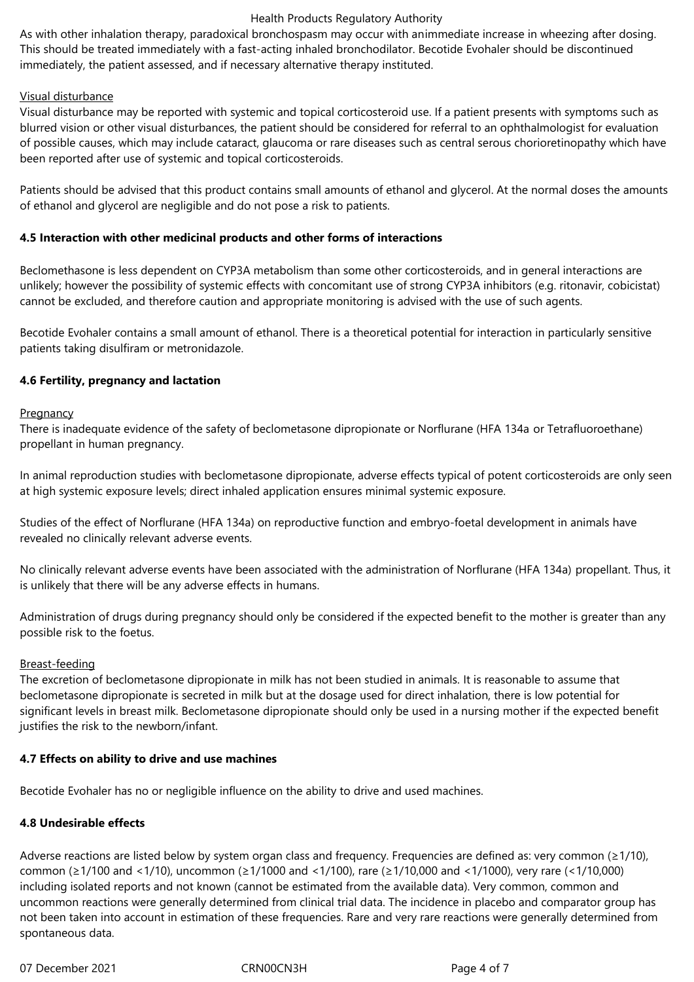#### Health Products Regulatory Authority

As with other inhalation therapy, paradoxical bronchospasm may occur with animmediate increase in wheezing after dosing. This should be treated immediately with a fast-acting inhaled bronchodilator. Becotide Evohaler should be discontinued immediately, the patient assessed, and if necessary alternative therapy instituted.

## Visual disturbance

Visual disturbance may be reported with systemic and topical corticosteroid use. If a patient presents with symptoms such as blurred vision or other visual disturbances, the patient should be considered for referral to an ophthalmologist for evaluation of possible causes, which may include cataract, glaucoma or rare diseases such as central serous chorioretinopathy which have been reported after use of systemic and topical corticosteroids.

Patients should be advised that this product contains small amounts of ethanol and glycerol. At the normal doses the amounts of ethanol and glycerol are negligible and do not pose a risk to patients.

## **4.5 Interaction with other medicinal products and other forms of interactions**

Beclomethasone is less dependent on CYP3A metabolism than some other corticosteroids, and in general interactions are unlikely; however the possibility of systemic effects with concomitant use of strong CYP3A inhibitors (e.g. ritonavir, cobicistat) cannot be excluded, and therefore caution and appropriate monitoring is advised with the use of such agents.

Becotide Evohaler contains a small amount of ethanol. There is a theoretical potential for interaction in particularly sensitive patients taking disulfiram or metronidazole.

## **4.6 Fertility, pregnancy and lactation**

#### **Pregnancy**

There is inadequate evidence of the safety of beclometasone dipropionate or Norflurane (HFA 134a or Tetrafluoroethane) propellant in human pregnancy.

In animal reproduction studies with beclometasone dipropionate, adverse effects typical of potent corticosteroids are only seen at high systemic exposure levels; direct inhaled application ensures minimal systemic exposure.

Studies of the effect of Norflurane (HFA 134a) on reproductive function and embryo-foetal development in animals have revealed no clinically relevant adverse events.

No clinically relevant adverse events have been associated with the administration of Norflurane (HFA 134a) propellant. Thus, it is unlikely that there will be any adverse effects in humans.

Administration of drugs during pregnancy should only be considered if the expected benefit to the mother is greater than any possible risk to the foetus.

#### Breast-feeding

The excretion of beclometasone dipropionate in milk has not been studied in animals. It is reasonable to assume that beclometasone dipropionate is secreted in milk but at the dosage used for direct inhalation, there is low potential for significant levels in breast milk. Beclometasone dipropionate should only be used in a nursing mother if the expected benefit justifies the risk to the newborn/infant.

#### **4.7 Effects on ability to drive and use machines**

Becotide Evohaler has no or negligible influence on the ability to drive and used machines.

# **4.8 Undesirable effects**

Adverse reactions are listed below by system organ class and frequency. Frequencies are defined as: very common (≥1/10), common (≥1/100 and <1/10), uncommon (≥1/1000 and <1/100), rare (≥1/10,000 and <1/1000), very rare (<1/10,000) including isolated reports and not known (cannot be estimated from the available data). Very common, common and uncommon reactions were generally determined from clinical trial data. The incidence in placebo and comparator group has not been taken into account in estimation of these frequencies. Rare and very rare reactions were generally determined from spontaneous data.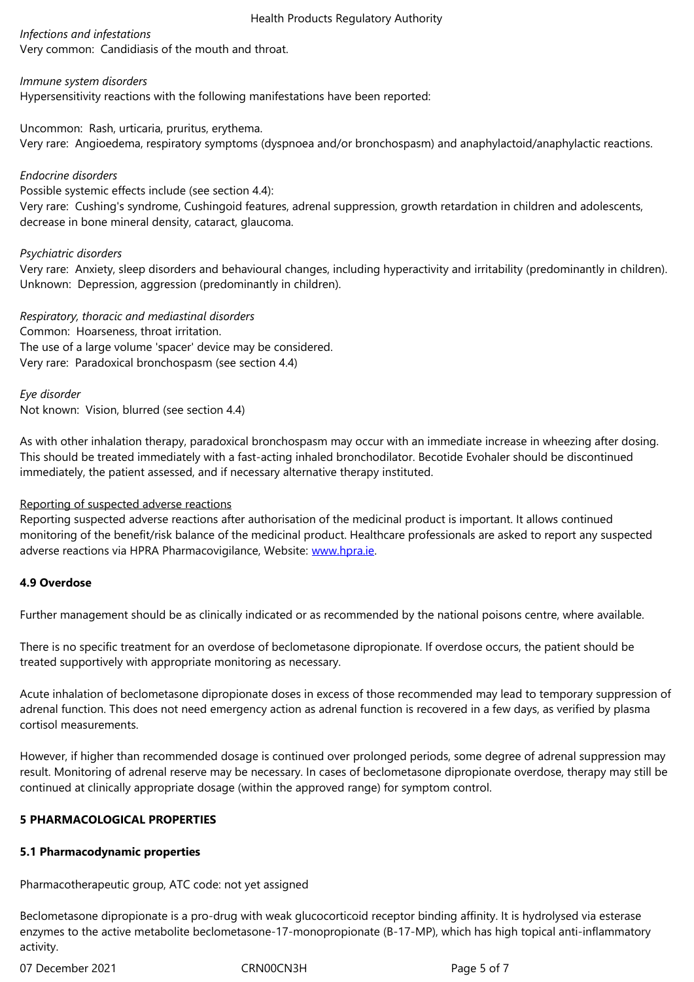#### *Immune system disorders*

Hypersensitivity reactions with the following manifestations have been reported:

Uncommon: Rash, urticaria, pruritus, erythema. Very rare: Angioedema, respiratory symptoms (dyspnoea and/or bronchospasm) and anaphylactoid/anaphylactic reactions.

#### *Endocrine disorders*

Possible systemic effects include (see section 4.4):

Very rare: Cushing's syndrome, Cushingoid features, adrenal suppression, growth retardation in children and adolescents, decrease in bone mineral density, cataract, glaucoma.

#### *Psychiatric disorders*

Very rare: Anxiety, sleep disorders and behavioural changes, including hyperactivity and irritability (predominantly in children). Unknown: Depression, aggression (predominantly in children).

*Respiratory, thoracic and mediastinal disorders* Common: Hoarseness, throat irritation. The use of a large volume 'spacer' device may be considered. Very rare: Paradoxical bronchospasm (see section 4.4)

*Eye disorder*

Not known: Vision, blurred (see section 4.4)

As with other inhalation therapy, paradoxical bronchospasm may occur with an immediate increase in wheezing after dosing. This should be treated immediately with a fast-acting inhaled bronchodilator. Becotide Evohaler should be discontinued immediately, the patient assessed, and if necessary alternative therapy instituted.

#### Reporting of suspected adverse reactions

Reporting suspected adverse reactions after authorisation of the medicinal product is important. It allows continued monitoring of the benefit/risk balance of the medicinal product. Healthcare professionals are asked to report any suspected adverse reactions via HPRA Pharmacovigilance, Website: www.hpra.ie.

#### **4.9 Overdose**

Further management should be as clinically indicated or [as recommen](http://www.hpra.ie/)ded by the national poisons centre, where available.

There is no specific treatment for an overdose of beclometasone dipropionate. If overdose occurs, the patient should be treated supportively with appropriate monitoring as necessary.

Acute inhalation of beclometasone dipropionate doses in excess of those recommended may lead to temporary suppression of adrenal function. This does not need emergency action as adrenal function is recovered in a few days, as verified by plasma cortisol measurements.

However, if higher than recommended dosage is continued over prolonged periods, some degree of adrenal suppression may result. Monitoring of adrenal reserve may be necessary. In cases of beclometasone dipropionate overdose, therapy may still be continued at clinically appropriate dosage (within the approved range) for symptom control.

#### **5 PHARMACOLOGICAL PROPERTIES**

#### **5.1 Pharmacodynamic properties**

Pharmacotherapeutic group, ATC code: not yet assigned

Beclometasone dipropionate is a pro-drug with weak glucocorticoid receptor binding affinity. It is hydrolysed via esterase enzymes to the active metabolite beclometasone-17-monopropionate (B-17-MP), which has high topical anti-inflammatory activity.

07 December 2021 CRN00CN3H CRNO2CN3H Page 5 of 7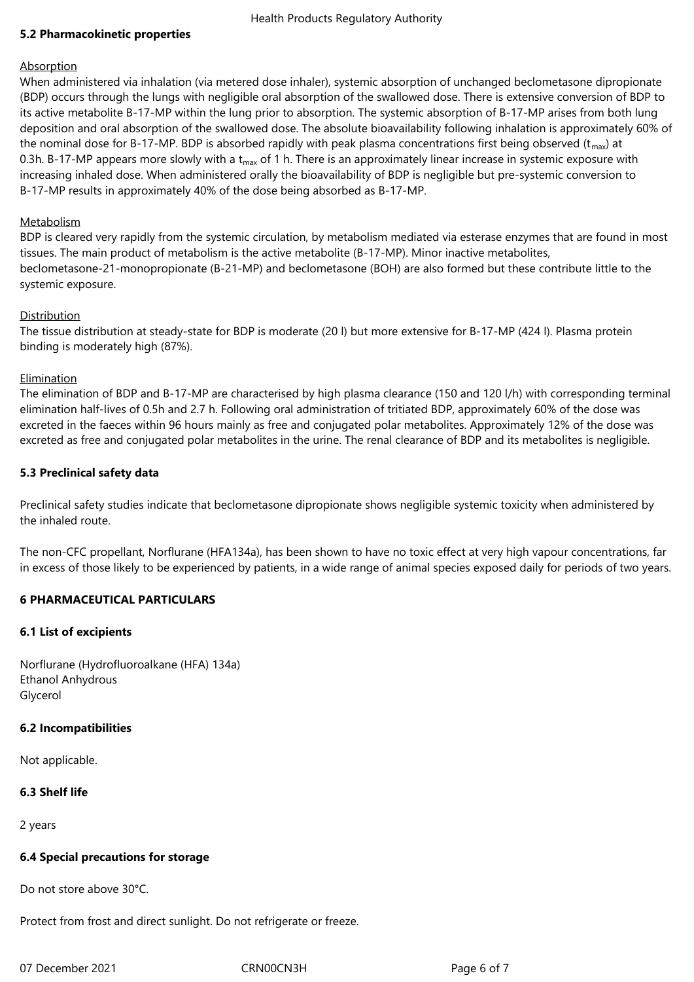#### Health Products Regulatory Authority

#### **5.2 Pharmacokinetic properties**

#### Absorption

When administered via inhalation (via metered dose inhaler), systemic absorption of unchanged beclometasone dipropionate (BDP) occurs through the lungs with negligible oral absorption of the swallowed dose. There is extensive conversion of BDP to its active metabolite B-17-MP within the lung prior to absorption. The systemic absorption of B-17-MP arises from both lung deposition and oral absorption of the swallowed dose. The absolute bioavailability following inhalation is approximately 60% of the nominal dose for B-17-MP. BDP is absorbed rapidly with peak plasma concentrations first being observed  $(t_{max})$  at 0.3h. B-17-MP appears more slowly with a  $t_{max}$  of 1 h. There is an approximately linear increase in systemic exposure with increasing inhaled dose. When administered orally the bioavailability of BDP is negligible but pre-systemic conversion to B-17-MP results in approximately 40% of the dose being absorbed as B-17-MP.

#### **Metabolism**

BDP is cleared very rapidly from the systemic circulation, by metabolism mediated via esterase enzymes that are found in most tissues. The main product of metabolism is the active metabolite (B-17-MP). Minor inactive metabolites, beclometasone-21-monopropionate (B-21-MP) and beclometasone (BOH) are also formed but these contribute little to the systemic exposure.

#### **Distribution**

The tissue distribution at steady-state for BDP is moderate (20 l) but more extensive for B-17-MP (424 l). Plasma protein binding is moderately high (87%).

## Elimination

The elimination of BDP and B-17-MP are characterised by high plasma clearance (150 and 120 l/h) with corresponding terminal elimination half-lives of 0.5h and 2.7 h. Following oral administration of tritiated BDP, approximately 60% of the dose was excreted in the faeces within 96 hours mainly as free and conjugated polar metabolites. Approximately 12% of the dose was excreted as free and conjugated polar metabolites in the urine. The renal clearance of BDP and its metabolites is negligible.

#### **5.3 Preclinical safety data**

Preclinical safety studies indicate that beclometasone dipropionate shows negligible systemic toxicity when administered by the inhaled route.

The non-CFC propellant, Norflurane (HFA134a), has been shown to have no toxic effect at very high vapour concentrations, far in excess of those likely to be experienced by patients, in a wide range of animal species exposed daily for periods of two years.

#### **6 PHARMACEUTICAL PARTICULARS**

#### **6.1 List of excipients**

Norflurane (Hydrofluoroalkane (HFA) 134a) Ethanol Anhydrous Glycerol

#### **6.2 Incompatibilities**

Not applicable.

#### **6.3 Shelf life**

2 years

#### **6.4 Special precautions for storage**

Do not store above 30°C.

Protect from frost and direct sunlight. Do not refrigerate or freeze.

07 December 2021 CRN00CN3H CRNO0CN3H Page 6 of 7